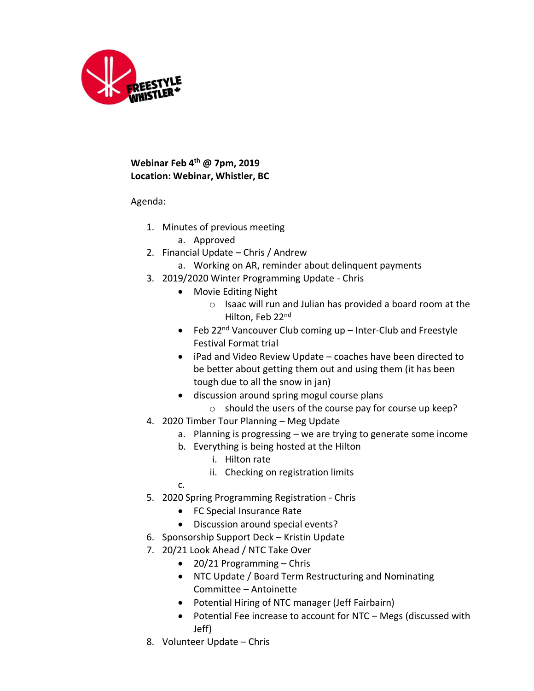

## **Webinar Feb 4 th @ 7pm, 2019 Location: Webinar, Whistler, BC**

Agenda:

- 1. Minutes of previous meeting
	- a. Approved
- 2. Financial Update Chris / Andrew
	- a. Working on AR, reminder about delinquent payments
- 3. 2019/2020 Winter Programming Update Chris
	- Movie Editing Night
		- o Isaac will run and Julian has provided a board room at the Hilton, Feb 22nd
	- Feb 22<sup>nd</sup> Vancouver Club coming up  $-$  Inter-Club and Freestyle Festival Format trial
	- iPad and Video Review Update coaches have been directed to be better about getting them out and using them (it has been tough due to all the snow in jan)
	- discussion around spring mogul course plans
		- o should the users of the course pay for course up keep?
- 4. 2020 Timber Tour Planning Meg Update
	- a. Planning is progressing we are trying to generate some income
	- b. Everything is being hosted at the Hilton
		- i. Hilton rate
		- ii. Checking on registration limits
	- c.
- 5. 2020 Spring Programming Registration Chris
	- FC Special Insurance Rate
	- Discussion around special events?
- 6. Sponsorship Support Deck Kristin Update
- 7. 20/21 Look Ahead / NTC Take Over
	- 20/21 Programming Chris
	- NTC Update / Board Term Restructuring and Nominating Committee – Antoinette
	- Potential Hiring of NTC manager (Jeff Fairbairn)
	- Potential Fee increase to account for NTC Megs (discussed with Jeff)
- 8. Volunteer Update Chris